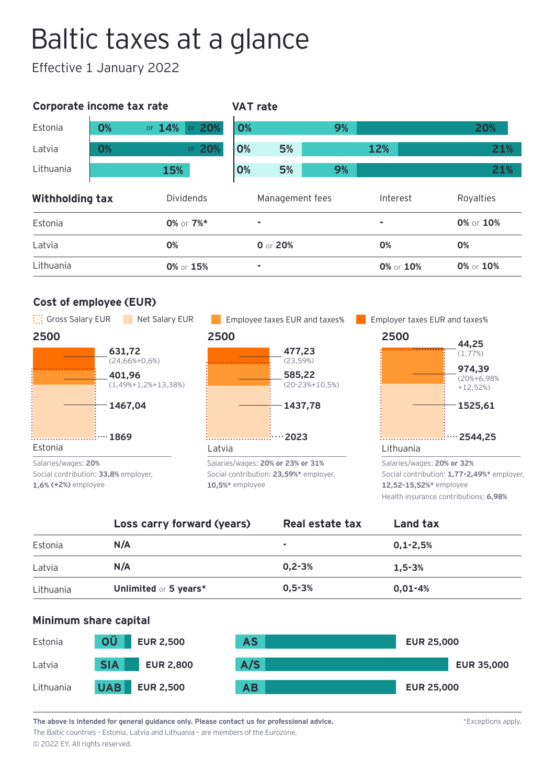# Baltic taxes at a glance

Effective 1 January 2022

| Corporate income tax rate |    |            | <b>VAT rate</b> |                 |    |          |                 |           |
|---------------------------|----|------------|-----------------|-----------------|----|----------|-----------------|-----------|
| Estonia                   | 0% | or $14%$   | or 20%          | 0%              |    | 9%       |                 | 20%       |
| Latvia                    | 0% |            | or 20%          | 0%              | 5% |          | 12%             | 21%       |
| Lithuania                 |    | <b>15%</b> |                 | 0%              | 5% | 9%       |                 | 21%       |
| Withholding tax           |    | Dividends  |                 | Management fees |    | Interest | Royalties       |           |
| Estonia                   |    |            | 0% or 7%*       | ۰               |    |          | ۰               | 0% or 10% |
| Latvia                    |    | 0%         |                 | 0 or 20%        |    |          | 0%              | 0%        |
| Lithuania                 |    |            | 0% or 15%       | ۰               |    |          | $0\%$ or $10\%$ | 0% or 10% |

# **Cost of employee (EUR)**



Social contribution: **33,8%** employer, **1,6% (+2%)** employee



Social contribution: **23,59%\*** employer, **10,5%\*** employee





Social contribution: **1,77-2,49%\*** employer, **12,52-15,52%\*** employee Health insurance contributions: **6,98%**

|           | Loss carry forward (years)   | Real estate tax | <b>Land tax</b> |
|-----------|------------------------------|-----------------|-----------------|
| Estonia   | N/A                          | ٠               | $0,1 - 2,5%$    |
| Latvia    | N/A                          | $0.2 - 3%$      | $1.5 - 3%$      |
| Lithuania | <b>Unlimited or 5 years*</b> | $0.5 - 3%$      | $0,01 - 4%$     |

## **Minimum share capital**



**The above is intended for general guidance only. Please contact us for professional advice.** The Baltic countries – Estonia, Latvia and Lithuania – are members of the Eurozone.

\*Exceptions apply.

© 2022 EY. All rights reserved.